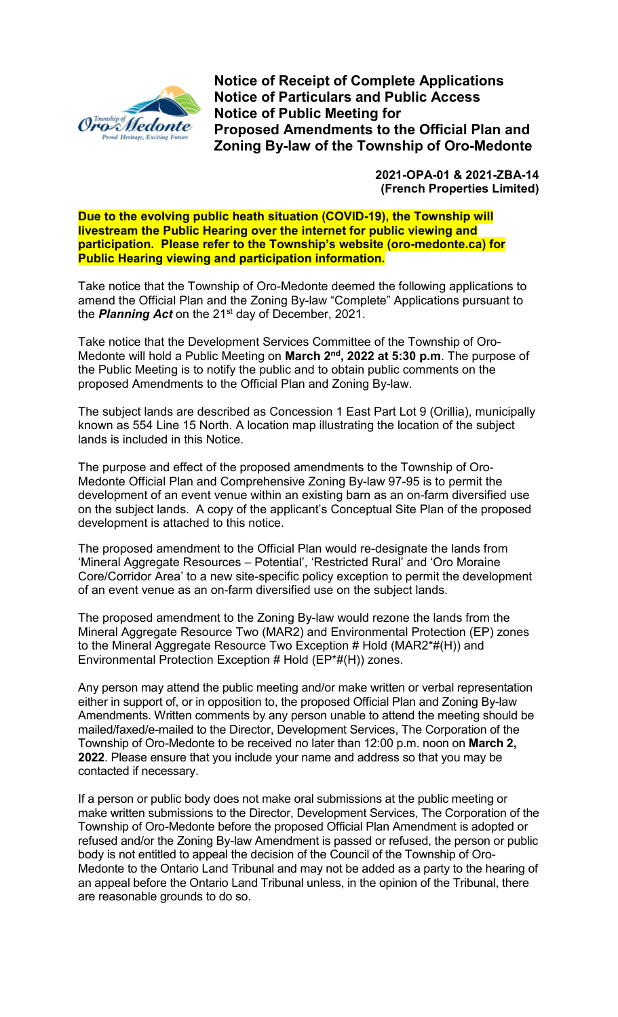

**Notice of Receipt of Complete Applications Notice of Particulars and Public Access Notice of Public Meeting for Proposed Amendments to the Official Plan and Zoning By-law of the Township of Oro-Medonte**

> **2021-OPA-01 & 2021-ZBA-14 (French Properties Limited)**

**Due to the evolving public heath situation (COVID-19), the Township will livestream the Public Hearing over the internet for public viewing and participation. Please refer to the Township's website (oro-medonte.ca) for Public Hearing viewing and participation information.**

Take notice that the Township of Oro-Medonte deemed the following applications to amend the Official Plan and the Zoning By-law "Complete" Applications pursuant to the **Planning Act** on the 21<sup>st</sup> day of December, 2021.

Take notice that the Development Services Committee of the Township of Oro-Medonte will hold a Public Meeting on **March 2nd, 2022 at 5:30 p.m**. The purpose of the Public Meeting is to notify the public and to obtain public comments on the proposed Amendments to the Official Plan and Zoning By-law.

The subject lands are described as Concession 1 East Part Lot 9 (Orillia), municipally known as 554 Line 15 North. A location map illustrating the location of the subject lands is included in this Notice.

The purpose and effect of the proposed amendments to the Township of Oro-Medonte Official Plan and Comprehensive Zoning By-law 97-95 is to permit the development of an event venue within an existing barn as an on-farm diversified use on the subject lands. A copy of the applicant's Conceptual Site Plan of the proposed development is attached to this notice.

The proposed amendment to the Official Plan would re-designate the lands from 'Mineral Aggregate Resources – Potential', 'Restricted Rural' and 'Oro Moraine Core/Corridor Area' to a new site-specific policy exception to permit the development of an event venue as an on-farm diversified use on the subject lands.

The proposed amendment to the Zoning By-law would rezone the lands from the Mineral Aggregate Resource Two (MAR2) and Environmental Protection (EP) zones to the Mineral Aggregate Resource Two Exception # Hold (MAR2\*#(H)) and Environmental Protection Exception # Hold (EP\*#(H)) zones.

Any person may attend the public meeting and/or make written or verbal representation either in support of, or in opposition to, the proposed Official Plan and Zoning By-law Amendments. Written comments by any person unable to attend the meeting should be mailed/faxed/e-mailed to the Director, Development Services, The Corporation of the Township of Oro-Medonte to be received no later than 12:00 p.m. noon on **March 2, 2022**. Please ensure that you include your name and address so that you may be contacted if necessary.

If a person or public body does not make oral submissions at the public meeting or make written submissions to the Director, Development Services, The Corporation of the Township of Oro-Medonte before the proposed Official Plan Amendment is adopted or refused and/or the Zoning By-law Amendment is passed or refused, the person or public body is not entitled to appeal the decision of the Council of the Township of Oro-Medonte to the Ontario Land Tribunal and may not be added as a party to the hearing of an appeal before the Ontario Land Tribunal unless, in the opinion of the Tribunal, there are reasonable grounds to do so.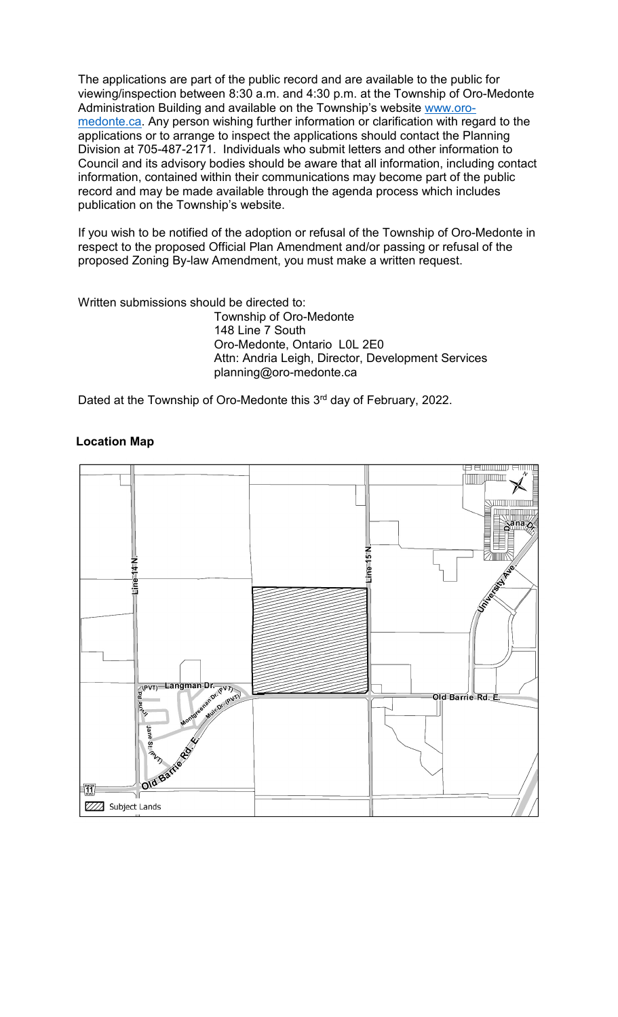The applications are part of the public record and are available to the public for viewing/inspection between 8:30 a.m. and 4:30 p.m. at the Township of Oro-Medonte Administration Building and available on the Township's website [www.oro](http://www.oro-medonte.ca/)[medonte.ca.](http://www.oro-medonte.ca/) Any person wishing further information or clarification with regard to the applications or to arrange to inspect the applications should contact the Planning Division at 705-487-2171. Individuals who submit letters and other information to Council and its advisory bodies should be aware that all information, including contact information, contained within their communications may become part of the public record and may be made available through the agenda process which includes publication on the Township's website.

If you wish to be notified of the adoption or refusal of the Township of Oro-Medonte in respect to the proposed Official Plan Amendment and/or passing or refusal of the proposed Zoning By-law Amendment, you must make a written request.

Written submissions should be directed to:

Township of Oro-Medonte 148 Line 7 South Oro-Medonte, Ontario L0L 2E0 Attn: Andria Leigh, Director, Development Services planning@oro-medonte.ca

Dated at the Township of Oro-Medonte this 3rd day of February, 2022.



## **Location Map**